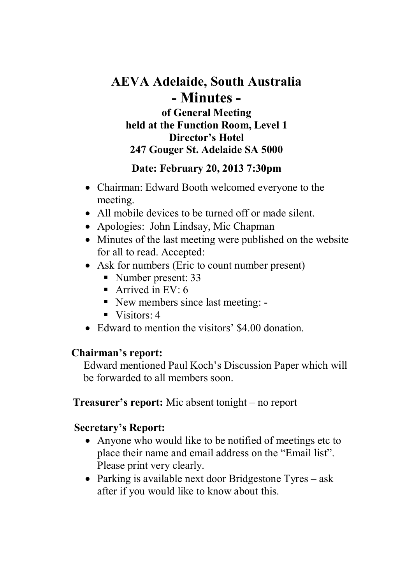# **AEVA Adelaide, South Australia - Minutes of General Meeting held at the Function Room, Level 1 Director's Hotel 247 Gouger St. Adelaide SA 5000**

#### **Date: February 20, 2013 7:30pm**

- Chairman: Edward Booth welcomed everyone to the meeting.
- All mobile devices to be turned off or made silent.
- Apologies: John Lindsay, Mic Chapman
- Minutes of the last meeting were published on the website for all to read. Accepted:
- Ask for numbers (Eric to count number present)
	- Number present: 33
	- Arrived in EV:  $6 \overline{ }$
	- New members since last meeting: -
	- $\blacksquare$  Visitors: 4
- Edward to mention the visitors' \$4.00 donation.

#### **Chairman's report:**

Edward mentioned Paul Koch's Discussion Paper which will be forwarded to all members soon.

### **Treasurer's report:** Mic absent tonight – no report

### **Secretary's Report:**

- Anyone who would like to be notified of meetings etc to place their name and email address on the "Email list". Please print very clearly.
- Parking is available next door Bridgestone Tyres ask after if you would like to know about this.